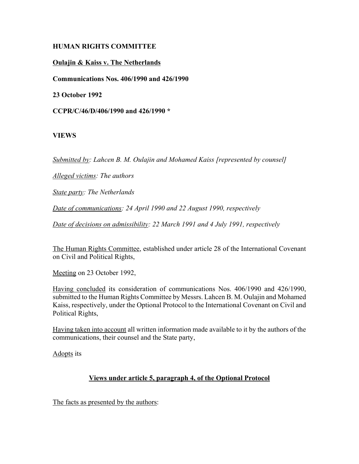## **HUMAN RIGHTS COMMITTEE**

# **Oulajin & Kaiss v. The Netherlands**

**Communications Nos. 406/1990 and 426/1990**

**23 October 1992**

**CCPR/C/46/D/406/1990 and 426/1990 \***

## **VIEWS**

*Submitted by: Lahcen B. M. Oulajin and Mohamed Kaiss [represented by counsel]*

*Alleged victims: The authors*

*State party: The Netherlands*

*Date of communications: 24 April 1990 and 22 August 1990, respectively*

*Date of decisions on admissibility: 22 March 1991 and 4 July 1991, respectively*

The Human Rights Committee, established under article 28 of the International Covenant on Civil and Political Rights,

Meeting on 23 October 1992,

Having concluded its consideration of communications Nos. 406/1990 and 426/1990, submitted to the Human Rights Committee by Messrs. Lahcen B. M. Oulajin and Mohamed Kaiss, respectively, under the Optional Protocol to the International Covenant on Civil and Political Rights,

Having taken into account all written information made available to it by the authors of the communications, their counsel and the State party,

Adopts its

## **Views under article 5, paragraph 4, of the Optional Protocol**

The facts as presented by the authors: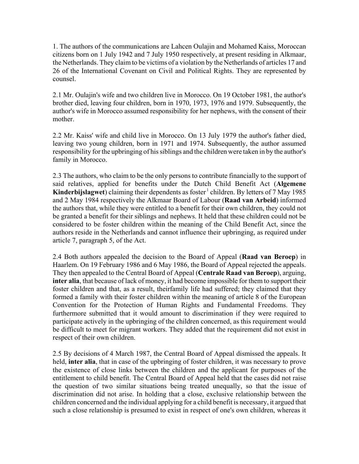1. The authors of the communications are Lahcen Oulajin and Mohamed Kaiss, Moroccan citizens born on 1 July 1942 and 7 July 1950 respectively, at present residing in Alkmaar, the Netherlands. They claim to be victims of a violation by the Netherlands of articles 17 and 26 of the International Covenant on Civil and Political Rights. They are represented by counsel.

2.1 Mr. Oulajin's wife and two children live in Morocco. On 19 October 1981, the author's brother died, leaving four children, born in 1970, 1973, 1976 and 1979. Subsequently, the author's wife in Morocco assumed responsibility for her nephews, with the consent of their mother.

2.2 Mr. Kaiss' wife and child live in Morocco. On 13 July 1979 the author's father died, leaving two young children, born in 1971 and 1974. Subsequently, the author assumed responsibility for the upbringing of his siblings and the children were taken in by the author's family in Morocco.

2.3 The authors, who claim to be the only persons to contribute financially to the support of said relatives, applied for benefits under the Dutch Child Benefit Act (**Algemene Kinderbijslagwet**) claiming their dependents as foster<sup>1</sup> children. By letters of 7 May 1985 and 2 May 1984 respectively the Alkmaar Board of Labour (**Raad van Arbeid**) informed the authors that, while they were entitled to a benefit for their own children, they could not be granted a benefit for their siblings and nephews. It held that these children could not be considered to be foster children within the meaning of the Child Benefit Act, since the authors reside in the Netherlands and cannot influence their upbringing, as required under article 7, paragraph 5, of the Act.

2.4 Both authors appealed the decision to the Board of Appeal (**Raad van Beroep**) in Haarlem. On 19 February 1986 and 6 May 1986, the Board of Appeal rejected the appeals. They then appealed to the Central Board of Appeal (**Centrale Raad van Beroep**), arguing, **inter alia**, that because of lack of money, it had become impossible for them to support their foster children and that, as a result, theirfamily life had suffered; they claimed that they formed a family with their foster children within the meaning of article 8 of the European Convention for the Protection of Human Rights and Fundamental Freedoms. They furthermore submitted that it would amount to discrimination if they were required to participate actively in the upbringing of the children concerned, as this requirement would be difficult to meet for migrant workers. They added that the requirement did not exist in respect of their own children.

2.5 By decisions of 4 March 1987, the Central Board of Appeal dismissed the appeals. It held, **inter alia**, that in case of the upbringing of foster children, it was necessary to prove the existence of close links between the children and the applicant for purposes of the entitlement to child benefit. The Central Board of Appeal held that the cases did not raise the question of two similar situations being treated unequally, so that the issue of discrimination did not arise. In holding that a close, exclusive relationship between the children concerned and the individual applying for a child benefit is necessary, it argued that such a close relationship is presumed to exist in respect of one's own children, whereas it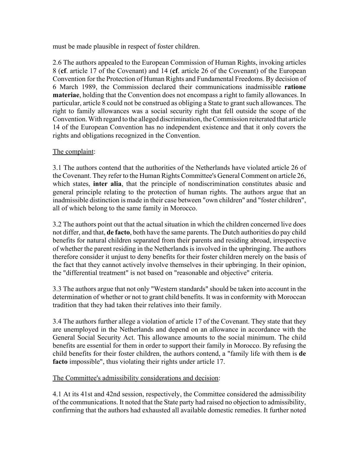must be made plausible in respect of foster children.

2.6 The authors appealed to the European Commission of Human Rights, invoking articles 8 (**cf**. article 17 of the Covenant) and 14 (**cf**. article 26 of the Covenant) of the European Convention for the Protection of Human Rights and Fundamental Freedoms. By decision of 6 March 1989, the Commission declared their communications inadmissible **ratione materiae**, holding that the Convention does not encompass a right to family allowances. In particular, article 8 could not be construed as obliging a State to grant such allowances. The right to family allowances was a social security right that fell outside the scope of the Convention. With regard to the alleged discrimination, the Commission reiterated that article 14 of the European Convention has no independent existence and that it only covers the rights and obligations recognized in the Convention.

## The complaint:

3.1 The authors contend that the authorities of the Netherlands have violated article 26 of the Covenant. They refer to the Human Rights Committee's General Comment on article 26, which states, **inter alia**, that the principle of nondiscrimination constitutes abasic and general principle relating to the protection of human rights. The authors argue that an inadmissible distinction is made in their case between "own children" and "foster children", all of which belong to the same family in Morocco.

3.2 The authors point out that the actual situation in which the children concerned live does not differ, and that, **de facto**, both have the same parents. The Dutch authorities do pay child benefits for natural children separated from their parents and residing abroad, irrespective of whether the parent residing in the Netherlands is involved in the upbringing. The authors therefore consider it unjust to deny benefits for their foster children merely on the basis of the fact that they cannot actively involve themselves in their upbringing. In their opinion, the "differential treatment" is not based on "reasonable and objective" criteria.

3.3 The authors argue that not only "Western standards" should be taken into account in the determination of whether or not to grant child benefits. It was in conformity with Moroccan tradition that they had taken their relatives into their family.

3.4 The authors further allege a violation of article 17 of the Covenant. They state that they are unemployed in the Netherlands and depend on an allowance in accordance with the General Social Security Act. This allowance amounts to the social minimum. The child benefits are essential for them in order to support their family in Morocco. By refusing the child benefits for their foster children, the authors contend, a "family life with them is **de facto** impossible", thus violating their rights under article 17.

## The Committee's admissibility considerations and decision:

4.1 At its 41st and 42nd session, respectively, the Committee considered the admissibility of the communications. It noted that the State party had raised no objection to admissibility, confirming that the authors had exhausted all available domestic remedies. It further noted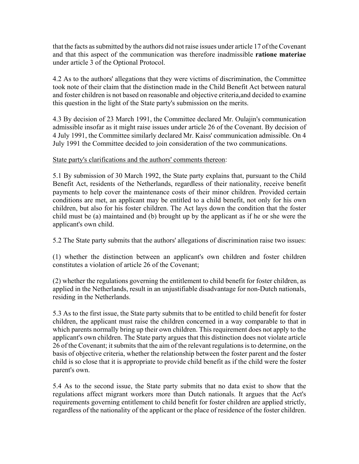that the facts as submitted by the authors did not raise issues under article 17 of the Covenant and that this aspect of the communication was therefore inadmissible **ratione materiae** under article 3 of the Optional Protocol.

4.2 As to the authors' allegations that they were victims of discrimination, the Committee took note of their claim that the distinction made in the Child Benefit Act between natural and foster children is not based on reasonable and objective criteria,and decided to examine this question in the light of the State party's submission on the merits.

4.3 By decision of 23 March 1991, the Committee declared Mr. Oulajin's communication admissible insofar as it might raise issues under article 26 of the Covenant. By decision of 4 July 1991, the Committee similarly declared Mr. Kaiss' communication admissible. On 4 July 1991 the Committee decided to join consideration of the two communications.

### State party's clarifications and the authors' comments thereon:

5.1 By submission of 30 March 1992, the State party explains that, pursuant to the Child Benefit Act, residents of the Netherlands, regardless of their nationality, receive benefit payments to help cover the maintenance costs of their minor children. Provided certain conditions are met, an applicant may be entitled to a child benefit, not only for his own children, but also for his foster children. The Act lays down the condition that the foster child must be (a) maintained and (b) brought up by the applicant as if he or she were the applicant's own child.

5.2 The State party submits that the authors' allegations of discrimination raise two issues:

(1) whether the distinction between an applicant's own children and foster children constitutes a violation of article 26 of the Covenant;

(2) whether the regulations governing the entitlement to child benefit for foster children, as applied in the Netherlands, result in an unjustifiable disadvantage for non-Dutch nationals, residing in the Netherlands.

5.3 As to the first issue, the State party submits that to be entitled to child benefit for foster children, the applicant must raise the children concerned in a way comparable to that in which parents normally bring up their own children. This requirement does not apply to the applicant's own children. The State party argues that this distinction does not violate article 26 of the Covenant; it submits that the aim of the relevant regulations is to determine, on the basis of objective criteria, whether the relationship between the foster parent and the foster child is so close that it is appropriate to provide child benefit as if the child were the foster parent's own.

5.4 As to the second issue, the State party submits that no data exist to show that the regulations affect migrant workers more than Dutch nationals. It argues that the Act's requirements governing entitlement to child benefit for foster children are applied strictly, regardless of the nationality of the applicant or the place of residence of the foster children.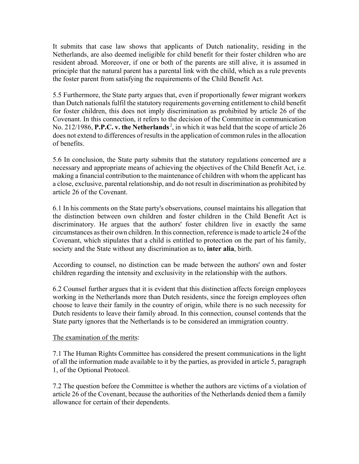It submits that case law shows that applicants of Dutch nationality, residing in the Netherlands, are also deemed ineligible for child benefit for their foster children who are resident abroad. Moreover, if one or both of the parents are still alive, it is assumed in principle that the natural parent has a parental link with the child, which as a rule prevents the foster parent from satisfying the requirements of the Child Benefit Act.

5.5 Furthermore, the State party argues that, even if proportionally fewer migrant workers than Dutch nationals fulfil the statutory requirements governing entitlement to child benefit for foster children, this does not imply discrimination as prohibited by article 26 of the Covenant. In this connection, it refers to the decision of the Committee in communication No. 212/1986, **P.P.C. v. the Netherlands**<sup>2</sup>, in which it was held that the scope of article 26 does not extend to differences of results in the application of common rules in the allocation of benefits.

5.6 In conclusion, the State party submits that the statutory regulations concerned are a necessary and appropriate means of achieving the objectives of the Child Benefit Act, i.e. making a financial contribution to the maintenance of children with whom the applicant has a close, exclusive, parental relationship, and do not result in discrimination as prohibited by article 26 of the Covenant.

6.1 In his comments on the State party's observations, counsel maintains his allegation that the distinction between own children and foster children in the Child Benefit Act is discriminatory. He argues that the authors' foster children live in exactly the same circumstances as their own children. In this connection, reference is made to article 24 of the Covenant, which stipulates that a child is entitled to protection on the part of his family, society and the State without any discrimination as to, **inter alia**, birth.

According to counsel, no distinction can be made between the authors' own and foster children regarding the intensity and exclusivity in the relationship with the authors.

6.2 Counsel further argues that it is evident that this distinction affects foreign employees working in the Netherlands more than Dutch residents, since the foreign employees often choose to leave their family in the country of origin, while there is no such necessity for Dutch residents to leave their family abroad. In this connection, counsel contends that the State party ignores that the Netherlands is to be considered an immigration country.

### The examination of the merits:

7.1 The Human Rights Committee has considered the present communications in the light of all the information made available to it by the parties, as provided in article 5, paragraph 1, of the Optional Protocol.

7.2 The question before the Committee is whether the authors are victims of a violation of article 26 of the Covenant, because the authorities of the Netherlands denied them a family allowance for certain of their dependents.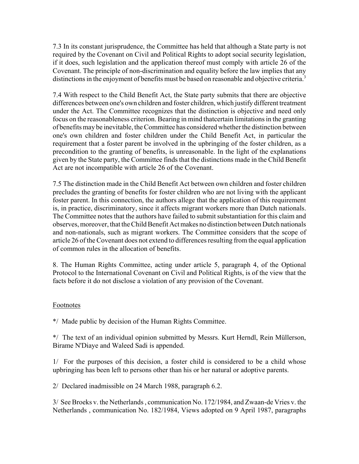7.3 In its constant jurisprudence, the Committee has held that although a State party is not required by the Covenant on Civil and Political Rights to adopt social security legislation, if it does, such legislation and the application thereof must comply with article 26 of the Covenant. The principle of non-discrimination and equality before the law implies that any distinctions in the enjoyment of benefits must be based on reasonable and objective criteria.<sup>3</sup>

7.4 With respect to the Child Benefit Act, the State party submits that there are objective differences between one's own children and foster children, which justify different treatment under the Act. The Committee recognizes that the distinction is objective and need only focus on the reasonableness criterion. Bearing in mind thatcertain limitations in the granting of benefits may be inevitable, the Committee has considered whether the distinction between one's own children and foster children under the Child Benefit Act, in particular the requirement that a foster parent be involved in the upbringing of the foster children, as a precondition to the granting of benefits, is unreasonable. In the light of the explanations given by the State party, the Committee finds that the distinctions made in the Child Benefit Act are not incompatible with article 26 of the Covenant.

7.5 The distinction made in the Child Benefit Act between own children and foster children precludes the granting of benefits for foster children who are not living with the applicant foster parent. In this connection, the authors allege that the application of this requirement is, in practice, discriminatory, since it affects migrant workers more than Dutch nationals. The Committee notes that the authors have failed to submit substantiation for this claim and observes, moreover, that the Child Benefit Act makes no distinction between Dutch nationals and non-nationals, such as migrant workers. The Committee considers that the scope of article 26 of the Covenant does not extend to differences resulting from the equal application of common rules in the allocation of benefits.

8. The Human Rights Committee, acting under article 5, paragraph 4, of the Optional Protocol to the International Covenant on Civil and Political Rights, is of the view that the facts before it do not disclose a violation of any provision of the Covenant.

### Footnotes

\*/ Made public by decision of the Human Rights Committee.

\*/ The text of an individual opinion submitted by Messrs. Kurt Herndl, Rein Müllerson, Birame N'Diaye and Waleed Sadi is appended.

1/ For the purposes of this decision, a foster child is considered to be a child whose upbringing has been left to persons other than his or her natural or adoptive parents.

2/ Declared inadmissible on 24 March 1988, paragraph 6.2.

3/ See Broeks v. the Netherlands , communication No. 172/1984, and Zwaan-de Vries v. the Netherlands , communication No. 182/1984, Views adopted on 9 April 1987, paragraphs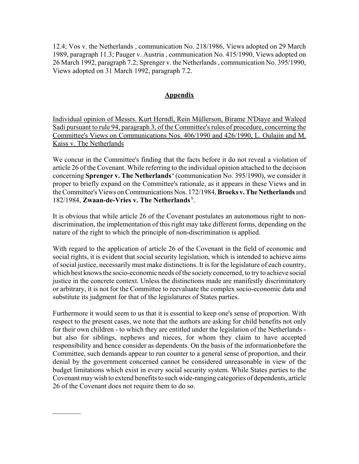12.4; Vos v. the Netherlands , communication No. 218/1986, Views adopted on 29 March 1989, paragraph 11.3; Pauger v. Austria , communication No. 415/1990, Views adopted on 26 March 1992, paragraph 7.2; Sprenger v. the Netherlands , communication No. 395/1990, Views adopted on 31 March 1992, paragraph 7.2.

# **Appendix**

Individual opinion of Messrs. Kurt Herndl, Rein Müllerson, Birame N'Diaye and Waleed Sadi pursuant to rule 94, paragraph 3, of the Committee's rules of procedure, concerning the Committee's Views on Communications Nos. 406/1990 and 426/1990, L. Oulajin and M. Kaiss v. The Netherlands

We concur in the Committee's finding that the facts before it do not reveal a violation of article 26 of the Covenant. While referring to the individual opinion attached to the decision concerning **Sprenger v. The Netherlands**<sup>ª</sup> (communication No. 395/1990), we consider it proper to briefly expand on the Committee's rationale, as it appears in these Views and in the Committee's Views on Communications Nos. 172/1984, **Broeks v. The Netherlands** and 182/1984, **Zwaan-de-Vries v. The Netherlands** b.

It is obvious that while article 26 of the Covenant postulates an autonomous right to nondiscrimination, the implementation of this right may take different forms, depending on the nature of the right to which the principle of non-discrimination is applied.

With regard to the application of article 26 of the Covenant in the field of economic and social rights, it is evident that social security legislation, which is intended to achieve aims of social justice, necessarily must make distinctions. It is for the legislature of each country, which best knows the socio-economic needs of the society concerned, to try to achieve social justice in the concrete context. Unless the distinctions made are manifestly discriminatory or arbitrary, it is not for the Committee to reevaluate the complex socio-economic data and substitute its judgment for that of the legislatures of States parties.

Furthermore it would seem to us that it is essential to keep one's sense of proportion. With respect to the present cases, we note that the authors are asking for child benefits not only for their own children - to which they are entitled under the legislation of the Netherlands but also for siblings, nephews and nieces, for whom they claim to have accepted responsibility and hence consider as dependents. On the basis of the informationbefore the Committee, such demands appear to run counter to a general sense of proportion, and their denial by the government concerned cannot be considered unreasonable in view of the budget limitations which exist in every social security system. While States parties to the Covenant may wish to extend benefits to such wide-ranging categories of dependents, article 26 of the Covenant does not require them to do so.

 $\frac{1}{2}$